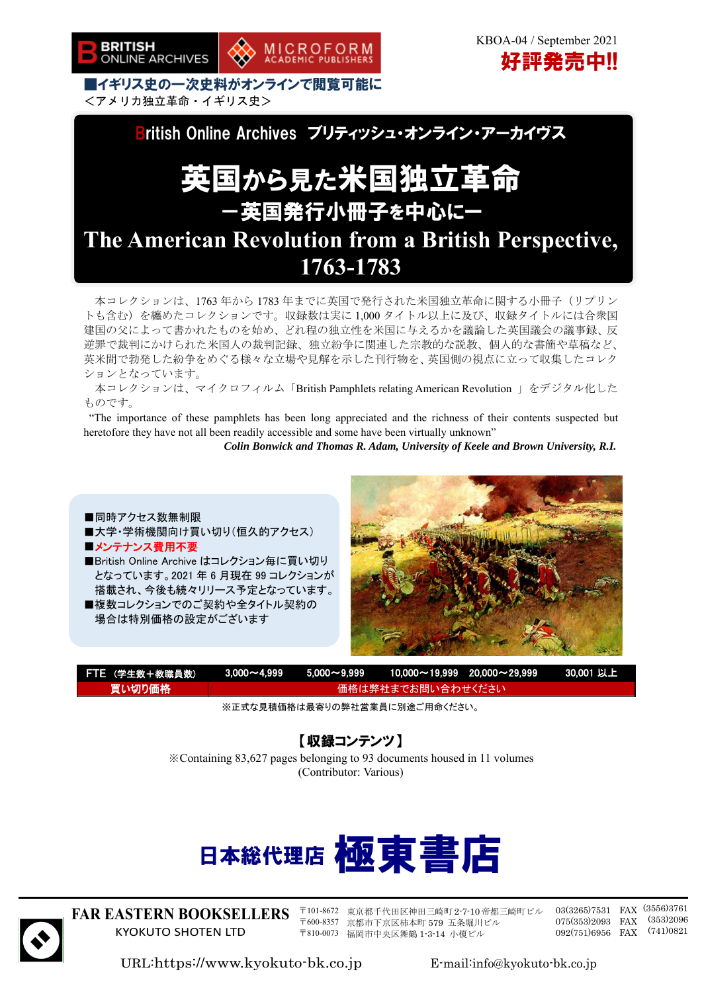

■イギリス史の一次史料がオンラインで閲覧可能に <アメリカ独立革命・イギリス史>



MICROFORM<br>ACADEMIC PUBLISHERS

# 英国から見た米国独立革命 -英国発行小冊子を中心にー

**The American Revolution from a British Perspective, 1763-1783**

本コレクションは、1763 年から 1783 年までに英国で発行された米国独立革命に関する小冊子(リプリン トも含む)を纏めたコレクションです。収録数は実に 1,000 タイトル以上に及び、収録タイトルには合衆国 建国の父によって書かれたものを始め、どれ程の独立性を米国に与えるかを議論した英国議会の議事録、反 逆罪で裁判にかけられた米国人の裁判記録、独立紛争に関連した宗教的な説教、個人的な書簡や草稿など、 英米間で勃発した紛争をめぐる様々な立場や見解を示した刊行物を、英国側の視点に立って収集したコレク ションとなっています。

本コレクションは、マイクロフィルム「British Pamphlets relating American Revolution 」をデジタル化した ものです。

"The importance of these pamphlets has been long appreciated and the richness of their contents suspected but heretofore they have not all been readily accessible and some have been virtually unknown"

*Colin Bonwick and Thomas R. Adam, University of Keele and Brown University, R.I.* 

- ■同時アクセス数無制限 ■大学・学術機関向け買い切り(恒久的アクセス) ■メンテナンス費用不要
- ■British Online Archive はコレクション毎に買い切り となっています。2021 年 6 月現在 99 コレクションが 搭載され、今後も続々リリース予定となっています。

■複数コレクションでのご契約や全タイトル契約の 場合は特別価格の設定がございます



| FTE (学生数+教職員数) |                   |  |  | _3,000~4,999  5,000~9,999  10,000~19,999 20,000~29,999  _30,001              以上\ |  |
|----------------|-------------------|--|--|----------------------------------------------------------------------------------|--|
| ▲買い切り価格 \      | 価格は弊社までお問い合わせください |  |  |                                                                                  |  |

※正式な見積価格は最寄りの弊社営業員に別途ご用命ください。

【収録コンテンツ】

※Containing 83,627 pages belonging to 93 documents housed in 11 volumes (Contributor: Various)





**FAR EASTERN BOOKSELLERS**  KYOKUTO SHOTEN LTD

〒101-8672 東京都千代田区神田三崎町 2-7-10 帝都三崎町ビル 〒600-8357 京都市下京区柿本町 579 五条堀川ビル 〒810-0073 福岡市中央区舞鶴 1-3-14 小榎ビル

03(3265)7531 FAX (3556)3761 075(353)2093 FAX 092(751)6956 FAX (353)2096 (741)0821

URL:https://www.kyokuto-bk.co.jp E-mail:info@kyokuto-bk.co.jp